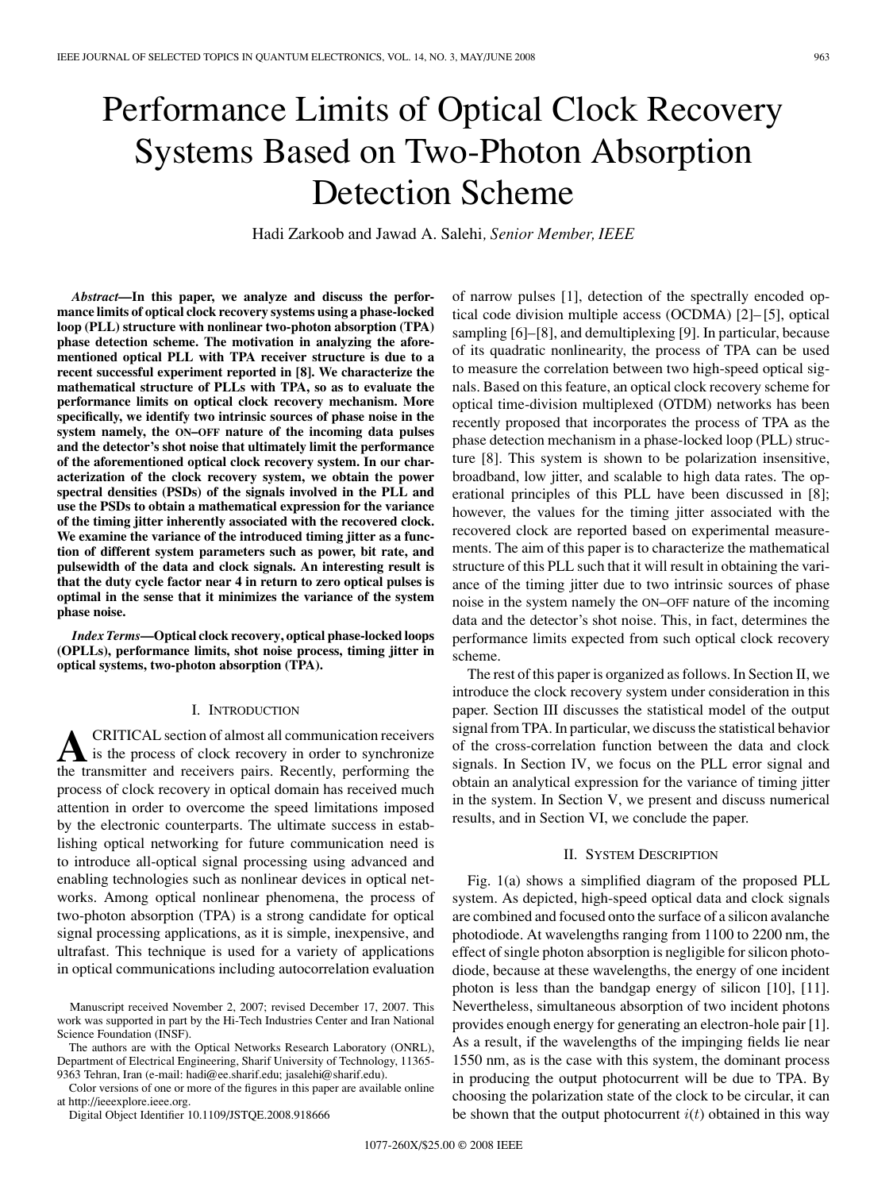# Performance Limits of Optical Clock Recovery Systems Based on Two-Photon Absorption Detection Scheme

Hadi Zarkoob and Jawad A. Salehi*, Senior Member, IEEE*

*Abstract***—In this paper, we analyze and discuss the performance limits of optical clock recovery systems using a phase-locked loop (PLL) structure with nonlinear two-photon absorption (TPA) phase detection scheme. The motivation in analyzing the aforementioned optical PLL with TPA receiver structure is due to a recent successful experiment reported in [8]. We characterize the mathematical structure of PLLs with TPA, so as to evaluate the performance limits on optical clock recovery mechanism. More specifically, we identify two intrinsic sources of phase noise in the system namely, the ON–OFF nature of the incoming data pulses and the detector's shot noise that ultimately limit the performance of the aforementioned optical clock recovery system. In our characterization of the clock recovery system, we obtain the power spectral densities (PSDs) of the signals involved in the PLL and use the PSDs to obtain a mathematical expression for the variance of the timing jitter inherently associated with the recovered clock. We examine the variance of the introduced timing jitter as a function of different system parameters such as power, bit rate, and pulsewidth of the data and clock signals. An interesting result is that the duty cycle factor near 4 in return to zero optical pulses is optimal in the sense that it minimizes the variance of the system phase noise.**

*Index Terms***—Optical clock recovery, optical phase-locked loops (OPLLs), performance limits, shot noise process, timing jitter in optical systems, two-photon absorption (TPA).**

#### I. INTRODUCTION

ACRITICAL section of almost all communication receivers<br>the transmitter and receivers pairs. Becauly, performing the the transmitter and receivers pairs. Recently, performing the process of clock recovery in optical domain has received much attention in order to overcome the speed limitations imposed by the electronic counterparts. The ultimate success in establishing optical networking for future communication need is to introduce all-optical signal processing using advanced and enabling technologies such as nonlinear devices in optical networks. Among optical nonlinear phenomena, the process of two-photon absorption (TPA) is a strong candidate for optical signal processing applications, as it is simple, inexpensive, and ultrafast. This technique is used for a variety of applications in optical communications including autocorrelation evaluation

The authors are with the Optical Networks Research Laboratory (ONRL), Department of Electrical Engineering, Sharif University of Technology, 11365- 9363 Tehran, Iran (e-mail: hadi@ee.sharif.edu; jasalehi@sharif.edu).

Color versions of one or more of the figures in this paper are available online at http://ieeexplore.ieee.org.

Digital Object Identifier 10.1109/JSTQE.2008.918666

of narrow pulses [1], detection of the spectrally encoded optical code division multiple access (OCDMA) [2]– [5], optical sampling [6]–[8], and demultiplexing [9]. In particular, because of its quadratic nonlinearity, the process of TPA can be used to measure the correlation between two high-speed optical signals. Based on this feature, an optical clock recovery scheme for optical time-division multiplexed (OTDM) networks has been recently proposed that incorporates the process of TPA as the phase detection mechanism in a phase-locked loop (PLL) structure [8]. This system is shown to be polarization insensitive, broadband, low jitter, and scalable to high data rates. The operational principles of this PLL have been discussed in [8]; however, the values for the timing jitter associated with the recovered clock are reported based on experimental measurements. The aim of this paper is to characterize the mathematical structure of this PLL such that it will result in obtaining the variance of the timing jitter due to two intrinsic sources of phase noise in the system namely the ON–OFF nature of the incoming data and the detector's shot noise. This, in fact, determines the performance limits expected from such optical clock recovery scheme.

The rest of this paper is organized as follows. In Section II, we introduce the clock recovery system under consideration in this paper. Section III discusses the statistical model of the output signal from TPA. In particular, we discuss the statistical behavior of the cross-correlation function between the data and clock signals. In Section IV, we focus on the PLL error signal and obtain an analytical expression for the variance of timing jitter in the system. In Section V, we present and discuss numerical results, and in Section VI, we conclude the paper.

#### II. SYSTEM DESCRIPTION

Fig. 1(a) shows a simplified diagram of the proposed PLL system. As depicted, high-speed optical data and clock signals are combined and focused onto the surface of a silicon avalanche photodiode. At wavelengths ranging from 1100 to 2200 nm, the effect of single photon absorption is negligible for silicon photodiode, because at these wavelengths, the energy of one incident photon is less than the bandgap energy of silicon [10], [11]. Nevertheless, simultaneous absorption of two incident photons provides enough energy for generating an electron-hole pair [1]. As a result, if the wavelengths of the impinging fields lie near 1550 nm, as is the case with this system, the dominant process in producing the output photocurrent will be due to TPA. By choosing the polarization state of the clock to be circular, it can be shown that the output photocurrent  $i(t)$  obtained in this way

Manuscript received November 2, 2007; revised December 17, 2007. This work was supported in part by the Hi-Tech Industries Center and Iran National Science Foundation (INSF).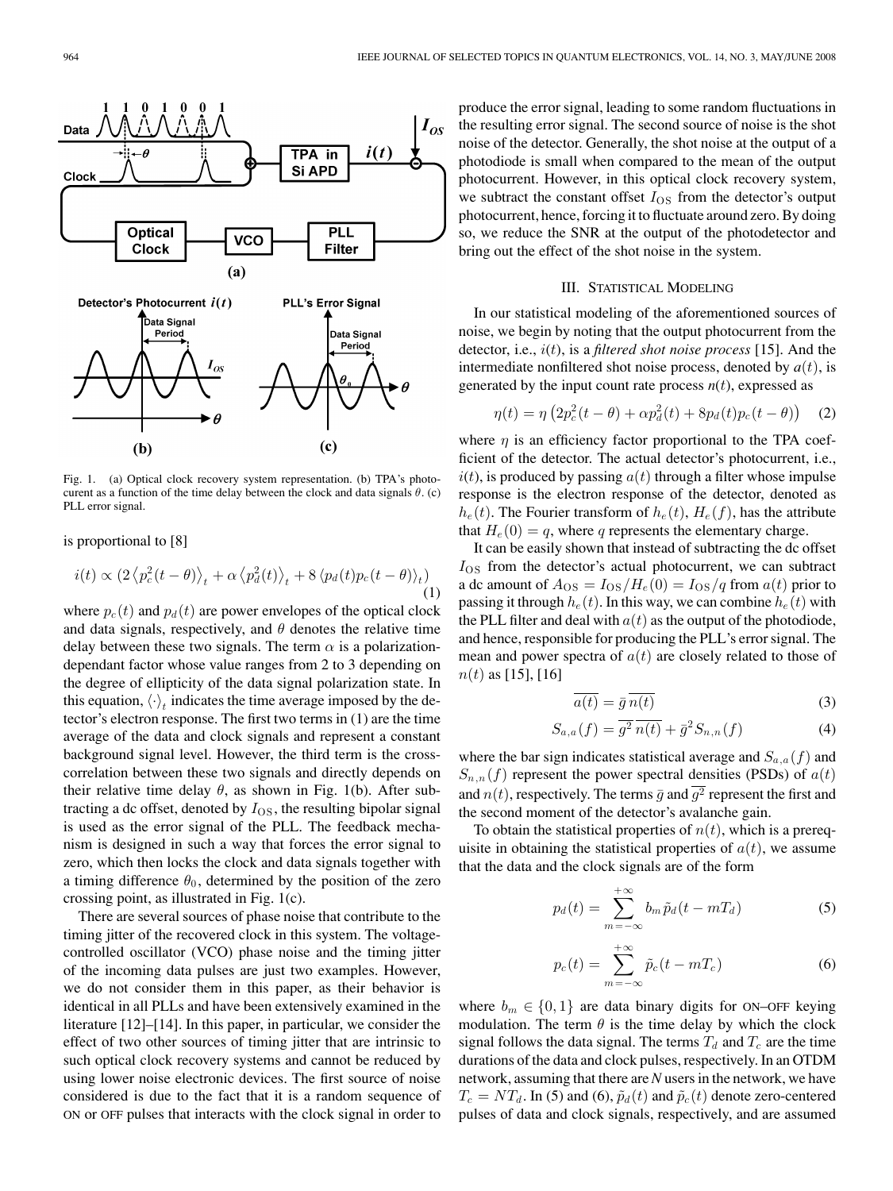

Fig. 1. (a) Optical clock recovery system representation. (b) TPA's photocurent as a function of the time delay between the clock and data signals  $\theta$ . (c) PLL error signal.

is proportional to [8]

$$
i(t) \propto \left(2\left\langle p_c^2(t-\theta)\right\rangle_t + \alpha\left\langle p_d^2(t)\right\rangle_t + 8\left\langle p_d(t)p_c(t-\theta)\right\rangle_t\right)
$$
\n(1)

where  $p_c(t)$  and  $p_d(t)$  are power envelopes of the optical clock and data signals, respectively, and  $\theta$  denotes the relative time delay between these two signals. The term  $\alpha$  is a polarizationdependant factor whose value ranges from 2 to 3 depending on the degree of ellipticity of the data signal polarization state. In this equation,  $\langle \cdot \rangle_t$  indicates the time average imposed by the detector's electron response. The first two terms in (1) are the time average of the data and clock signals and represent a constant background signal level. However, the third term is the crosscorrelation between these two signals and directly depends on their relative time delay  $\theta$ , as shown in Fig. 1(b). After subtracting a dc offset, denoted by  $I_{OS}$ , the resulting bipolar signal is used as the error signal of the PLL. The feedback mechanism is designed in such a way that forces the error signal to zero, which then locks the clock and data signals together with a timing difference  $\theta_0$ , determined by the position of the zero crossing point, as illustrated in Fig. 1(c).

There are several sources of phase noise that contribute to the timing jitter of the recovered clock in this system. The voltagecontrolled oscillator (VCO) phase noise and the timing jitter of the incoming data pulses are just two examples. However, we do not consider them in this paper, as their behavior is identical in all PLLs and have been extensively examined in the literature [12]–[14]. In this paper, in particular, we consider the effect of two other sources of timing jitter that are intrinsic to such optical clock recovery systems and cannot be reduced by using lower noise electronic devices. The first source of noise considered is due to the fact that it is a random sequence of ON or OFF pulses that interacts with the clock signal in order to

produce the error signal, leading to some random fluctuations in the resulting error signal. The second source of noise is the shot noise of the detector. Generally, the shot noise at the output of a photodiode is small when compared to the mean of the output photocurrent. However, in this optical clock recovery system, we subtract the constant offset  $I_{OS}$  from the detector's output photocurrent, hence, forcing it to fluctuate around zero. By doing so, we reduce the SNR at the output of the photodetector and bring out the effect of the shot noise in the system.

## III. STATISTICAL MODELING

In our statistical modeling of the aforementioned sources of noise, we begin by noting that the output photocurrent from the detector, i.e., i(t), is a *filtered shot noise process* [15]. And the intermediate nonfiltered shot noise process, denoted by  $a(t)$ , is generated by the input count rate process  $n(t)$ , expressed as

$$
\eta(t) = \eta \left( 2p_c^2(t - \theta) + \alpha p_d^2(t) + 8p_d(t)p_c(t - \theta) \right)
$$
 (2)

where  $\eta$  is an efficiency factor proportional to the TPA coefficient of the detector. The actual detector's photocurrent, i.e.,  $i(t)$ , is produced by passing  $a(t)$  through a filter whose impulse response is the electron response of the detector, denoted as  $h_e(t)$ . The Fourier transform of  $h_e(t)$ ,  $H_e(f)$ , has the attribute that  $H_e(0) = q$ , where q represents the elementary charge.

It can be easily shown that instead of subtracting the dc offset  $I_{OS}$  from the detector's actual photocurrent, we can subtract a dc amount of  $A_{OS} = I_{OS}/H_e(0) = I_{OS}/q$  from  $a(t)$  prior to passing it through  $h_e(t)$ . In this way, we can combine  $h_e(t)$  with the PLL filter and deal with  $a(t)$  as the output of the photodiode, and hence, responsible for producing the PLL's error signal. The mean and power spectra of  $a(t)$  are closely related to those of  $n(t)$  as [15], [16]

$$
\overline{a(t)} = \bar{g}\,\overline{n(t)}\tag{3}
$$

$$
S_{a,a}(f) = \overline{g^2} \, \overline{n(t)} + \bar{g}^2 S_{n,n}(f) \tag{4}
$$

where the bar sign indicates statistical average and  $S_{a,a}(f)$  and  $S_{n,n}(f)$  represent the power spectral densities (PSDs) of  $a(t)$ and  $n(t)$ , respectively. The terms  $\bar{g}$  and  $\bar{g}^2$  represent the first and the second moment of the detector's avalanche gain.

To obtain the statistical properties of  $n(t)$ , which is a prerequisite in obtaining the statistical properties of  $a(t)$ , we assume that the data and the clock signals are of the form

$$
p_d(t) = \sum_{m = -\infty}^{+\infty} b_m \tilde{p}_d(t - mT_d)
$$
 (5)

$$
p_c(t) = \sum_{m = -\infty}^{+\infty} \tilde{p}_c(t - mT_c)
$$
 (6)

where  $b_m \in \{0, 1\}$  are data binary digits for ON–OFF keying modulation. The term  $\theta$  is the time delay by which the clock signal follows the data signal. The terms  $T_d$  and  $T_c$  are the time durations of the data and clock pulses, respectively. In an OTDM network, assuming that there are *N* users in the network, we have  $T_c = NT_d$ . In (5) and (6),  $\tilde{p}_d(t)$  and  $\tilde{p}_c(t)$  denote zero-centered pulses of data and clock signals, respectively, and are assumed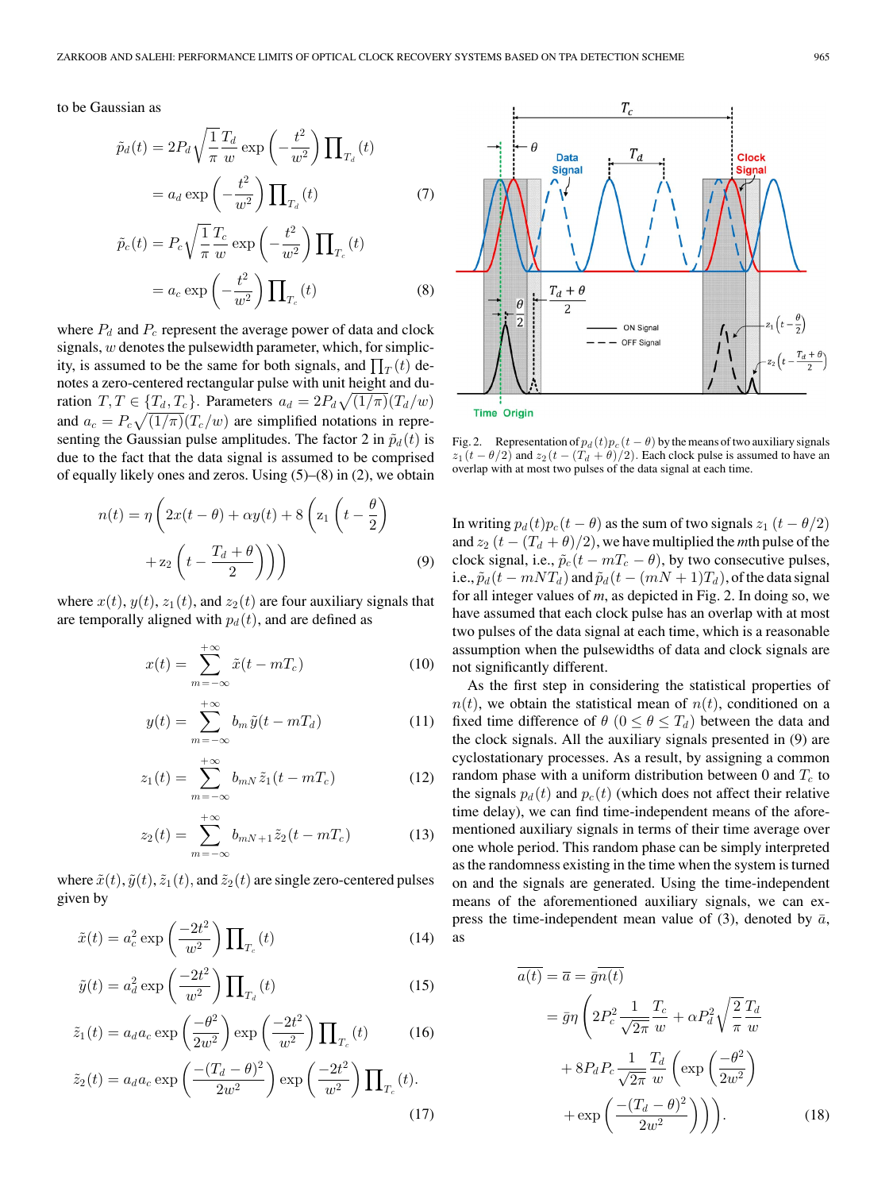to be Gaussian as

$$
\tilde{p}_d(t) = 2P_d \sqrt{\frac{1}{\pi}} \frac{T_d}{w} \exp\left(-\frac{t^2}{w^2}\right) \prod_{T_d}(t)
$$
\n
$$
= a_d \exp\left(-\frac{t^2}{w^2}\right) \prod_{T_d}(t) \tag{7}
$$

$$
\tilde{p}_c(t) = P_c \sqrt{\frac{1}{\pi}} \frac{T_c}{w} \exp\left(-\frac{t^2}{w^2}\right) \prod_{T_c}(t)
$$
\n
$$
= a_c \exp\left(-\frac{t^2}{w^2}\right) \prod_{T_c}(t) \tag{8}
$$

where  $P_d$  and  $P_c$  represent the average power of data and clock signals,  $w$  denotes the pulsewidth parameter, which, for simplicity, is assumed to be the same for both signals, and  $\prod_{T}(t)$  denotes a zero-centered rectangular pulse with unit height and duration  $T, T \in \{T_d, T_c\}$ . Parameters  $a_d = 2P_d \sqrt{(1/\pi)} (T_d/w)$ and  $a_c = P_c \sqrt{(1/\pi)} (T_c/w)$  are simplified notations in representing the Gaussian pulse amplitudes. The factor 2 in  $\tilde{p}_d(t)$  is due to the fact that the data signal is assumed to be comprised of equally likely ones and zeros. Using (5)–(8) in (2), we obtain

$$
n(t) = \eta \left( 2x(t - \theta) + \alpha y(t) + 8 \left( z_1 \left( t - \frac{\theta}{2} \right) + z_2 \left( t - \frac{T_d + \theta}{2} \right) \right) \right)
$$
(9)

where  $x(t)$ ,  $y(t)$ ,  $z_1(t)$ , and  $z_2(t)$  are four auxiliary signals that are temporally aligned with  $p_d(t)$ , and are defined as

$$
x(t) = \sum_{m = -\infty}^{+\infty} \tilde{x}(t - mT_c)
$$
 (10)

$$
y(t) = \sum_{m = -\infty}^{+\infty} b_m \tilde{y}(t - mT_d)
$$
 (11)

$$
z_1(t) = \sum_{m = -\infty}^{+\infty} b_{mN} \tilde{z}_1(t - mT_c)
$$
 (12)

$$
z_2(t) = \sum_{m = -\infty}^{+\infty} b_{mN+1} \tilde{z}_2(t - mT_c)
$$
 (13)

where  $\tilde{x}(t)$ ,  $\tilde{y}(t)$ ,  $\tilde{z}_1(t)$ , and  $\tilde{z}_2(t)$  are single zero-centered pulses given by

$$
\tilde{x}(t) = a_c^2 \exp\left(\frac{-2t^2}{w^2}\right) \prod_{T_c}(t)
$$
\n(14)

$$
\tilde{y}(t) = a_d^2 \exp\left(\frac{-2t^2}{w^2}\right) \prod_{T_d}(t) \tag{15}
$$

$$
\tilde{z}_1(t) = a_d a_c \exp\left(\frac{-\theta^2}{2w^2}\right) \exp\left(\frac{-2t^2}{w^2}\right) \prod_{T_c}(t) \tag{16}
$$

$$
\tilde{z}_2(t) = a_d a_c \exp\left(\frac{-(T_d - \theta)^2}{2w^2}\right) \exp\left(\frac{-2t^2}{w^2}\right) \prod_{T_c}(t).
$$
\n(17)



**Time Origin** 

Fig. 2. Representation of  $p_d(t)p_c(t-\theta)$  by the means of two auxiliary signals  $z_1(t - \theta/2)$  and  $z_2(t - (T_d + \theta)/2)$ . Each clock pulse is assumed to have an overlap with at most two pulses of the data signal at each time.

In writing  $p_d(t)p_c(t-\theta)$  as the sum of two signals  $z_1(t-\theta/2)$ and  $z_2$  ( $t - (T_d + \theta)/2$ ), we have multiplied the *m*th pulse of the clock signal, i.e.,  $\tilde{p}_c(t - mT_c - \theta)$ , by two consecutive pulses, i.e.,  $\tilde{p}_d(t - mNT_d)$  and  $\tilde{p}_d(t - (mN + 1)T_d)$ , of the data signal for all integer values of *m*, as depicted in Fig. 2. In doing so, we have assumed that each clock pulse has an overlap with at most two pulses of the data signal at each time, which is a reasonable assumption when the pulsewidths of data and clock signals are not significantly different.

As the first step in considering the statistical properties of  $n(t)$ , we obtain the statistical mean of  $n(t)$ , conditioned on a fixed time difference of  $\theta$  ( $0 \le \theta \le T_d$ ) between the data and the clock signals. All the auxiliary signals presented in (9) are cyclostationary processes. As a result, by assigning a common random phase with a uniform distribution between 0 and  $T_c$  to the signals  $p_d(t)$  and  $p_c(t)$  (which does not affect their relative time delay), we can find time-independent means of the aforementioned auxiliary signals in terms of their time average over one whole period. This random phase can be simply interpreted as the randomness existing in the time when the system is turned on and the signals are generated. Using the time-independent means of the aforementioned auxiliary signals, we can express the time-independent mean value of (3), denoted by  $\bar{a}$ , as

$$
\overline{a(t)} = \overline{a} = \overline{g}\overline{n(t)}
$$

$$
= \overline{g}\eta \left( 2P_c^2 \frac{1}{\sqrt{2\pi}} \frac{T_c}{w} + \alpha P_d^2 \sqrt{\frac{2}{\pi}} \frac{T_d}{w} + 8P_d P_c \frac{1}{\sqrt{2\pi}} \frac{T_d}{w} \left( \exp\left(\frac{-\theta^2}{2w^2}\right) + \exp\left(\frac{-(T_d - \theta)^2}{2w^2}\right) \right) \right).
$$
(18)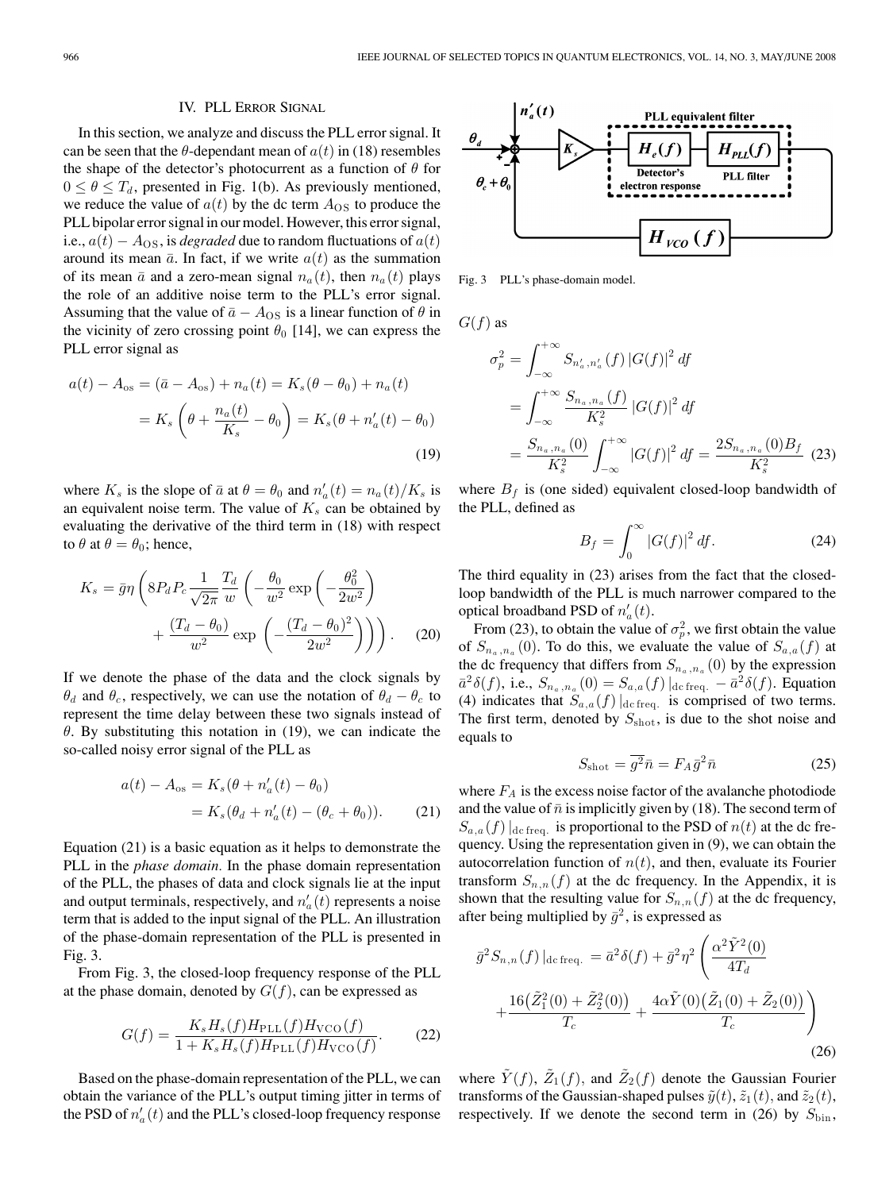## IV. PLL ERROR SIGNAL

In this section, we analyze and discuss the PLL error signal. It can be seen that the  $\theta$ -dependant mean of  $a(t)$  in (18) resembles the shape of the detector's photocurrent as a function of  $\theta$  for  $0 \le \theta \le T_d$ , presented in Fig. 1(b). As previously mentioned, we reduce the value of  $a(t)$  by the dc term  $A_{OS}$  to produce the PLL bipolar error signal in our model. However, this error signal, i.e.,  $a(t) - A_{OS}$ , is *degraded* due to random fluctuations of  $a(t)$ around its mean  $\bar{a}$ . In fact, if we write  $a(t)$  as the summation of its mean  $\bar{a}$  and a zero-mean signal  $n_a(t)$ , then  $n_a(t)$  plays the role of an additive noise term to the PLL's error signal. Assuming that the value of  $\bar{a} - A_{\text{OS}}$  is a linear function of  $\theta$  in the vicinity of zero crossing point  $\theta_0$  [14], we can express the PLL error signal as

$$
a(t) - A_{\text{os}} = (\bar{a} - A_{\text{os}}) + n_a(t) = K_s(\theta - \theta_0) + n_a(t)
$$
  
=  $K_s \left(\theta + \frac{n_a(t)}{K_s} - \theta_0\right) = K_s(\theta + n'_a(t) - \theta_0)$  (19)

where  $K_s$  is the slope of  $\bar{a}$  at  $\theta = \theta_0$  and  $n'_a(t) = n_a(t)/K_s$  is an equivalent noise term. The value of  $K<sub>s</sub>$  can be obtained by evaluating the derivative of the third term in (18) with respect to  $\theta$  at  $\theta = \theta_0$ ; hence,

$$
K_s = \bar{g}\eta \left( 8P_d P_c \frac{1}{\sqrt{2\pi}} \frac{T_d}{w} \left( -\frac{\theta_0}{w^2} \exp\left( -\frac{\theta_0^2}{2w^2} \right) + \frac{(T_d - \theta_0)}{w^2} \exp\left( -\frac{(T_d - \theta_0)^2}{2w^2} \right) \right) \right).
$$
 (20)

If we denote the phase of the data and the clock signals by  $\theta_d$  and  $\theta_c$ , respectively, we can use the notation of  $\theta_d - \theta_c$  to represent the time delay between these two signals instead of  $\theta$ . By substituting this notation in (19), we can indicate the so-called noisy error signal of the PLL as

$$
a(t) - A_{\text{os}} = K_s(\theta + n'_a(t) - \theta_0)
$$
  
=  $K_s(\theta_d + n'_a(t) - (\theta_c + \theta_0)).$  (21)

Equation (21) is a basic equation as it helps to demonstrate the PLL in the *phase domain.* In the phase domain representation of the PLL, the phases of data and clock signals lie at the input and output terminals, respectively, and  $n'_{a}(t)$  represents a noise term that is added to the input signal of the PLL. An illustration of the phase-domain representation of the PLL is presented in Fig. 3.

From Fig. 3, the closed-loop frequency response of the PLL at the phase domain, denoted by  $G(f)$ , can be expressed as

$$
G(f) = \frac{K_s H_s(f) H_{\rm PLL}(f) H_{\rm VCO}(f)}{1 + K_s H_s(f) H_{\rm PLL}(f) H_{\rm VCO}(f)}.
$$
 (22)

Based on the phase-domain representation of the PLL, we can obtain the variance of the PLL's output timing jitter in terms of the PSD of  $n_a'(t)$  and the PLL's closed-loop frequency response



Fig. 3 PLL's phase-domain model.

$$
G(f) \text{ as}
$$
\n
$$
\sigma_p^2 = \int_{-\infty}^{+\infty} S_{n'_a, n'_a}(f) |G(f)|^2 df
$$
\n
$$
= \int_{-\infty}^{+\infty} \frac{S_{n_a, n_a}(f)}{K_s^2} |G(f)|^2 df
$$
\n
$$
= \frac{S_{n_a, n_a}(0)}{K_s^2} \int_{-\infty}^{+\infty} |G(f)|^2 df = \frac{2S_{n_a, n_a}(0)B_f}{K_s^2} (23)
$$

where  $B_f$  is (one sided) equivalent closed-loop bandwidth of the PLL, defined as

$$
B_f = \int_0^\infty |G(f)|^2 \, df. \tag{24}
$$

The third equality in (23) arises from the fact that the closedloop bandwidth of the PLL is much narrower compared to the optical broadband PSD of  $n'_a(t)$ .

From (23), to obtain the value of  $\sigma_p^2$ , we first obtain the value of  $S_{n_a,n_a}(0)$ . To do this, we evaluate the value of  $S_{a,a}(f)$  at the dc frequency that differs from  $S_{n_a,n_a}(0)$  by the expression  $\bar{a}^2 \delta(f)$ , i.e.,  $S_{n_a,n_a}(0) = S_{a,a}(f)|_{\text{dc freq.}} - \bar{a}^2 \delta(f)$ . Equation (4) indicates that  $S_{a,a}(f)|_{def\{eqa\}}$  is comprised of two terms. The first term, denoted by  $S_{\text{shot}}$ , is due to the shot noise and equals to

$$
S_{\text{shot}} = \overline{g^2} \bar{n} = F_A \bar{g}^2 \bar{n} \tag{25}
$$

where  $F_A$  is the excess noise factor of the avalanche photodiode and the value of  $\bar{n}$  is implicitly given by (18). The second term of  $S_{a,a}(f)|_{\text{defree}}$  is proportional to the PSD of  $n(t)$  at the dc frequency. Using the representation given in (9), we can obtain the autocorrelation function of  $n(t)$ , and then, evaluate its Fourier transform  $S_{n,n}(f)$  at the dc frequency. In the Appendix, it is shown that the resulting value for  $S_{n,n}(f)$  at the dc frequency, after being multiplied by  $\bar{g}^2$ , is expressed as

$$
\bar{g}^{2} S_{n,n}(f) |_{\text{dc freq.}} = \bar{a}^{2} \delta(f) + \bar{g}^{2} \eta^{2} \left( \frac{\alpha^{2} \tilde{Y}^{2}(0)}{4T_{d}} + \frac{16(\tilde{Z}_{1}^{2}(0) + \tilde{Z}_{2}^{2}(0))}{T_{c}} + \frac{4\alpha \tilde{Y}(0)(\tilde{Z}_{1}(0) + \tilde{Z}_{2}(0))}{T_{c}} \right)
$$
\n(26)

where  $\tilde{Y}(f)$ ,  $\tilde{Z}_1(f)$ , and  $\tilde{Z}_2(f)$  denote the Gaussian Fourier transforms of the Gaussian-shaped pulses  $\tilde{y}(t)$ ,  $\tilde{z}_1(t)$ , and  $\tilde{z}_2(t)$ , respectively. If we denote the second term in (26) by  $S_{\text{bin}}$ ,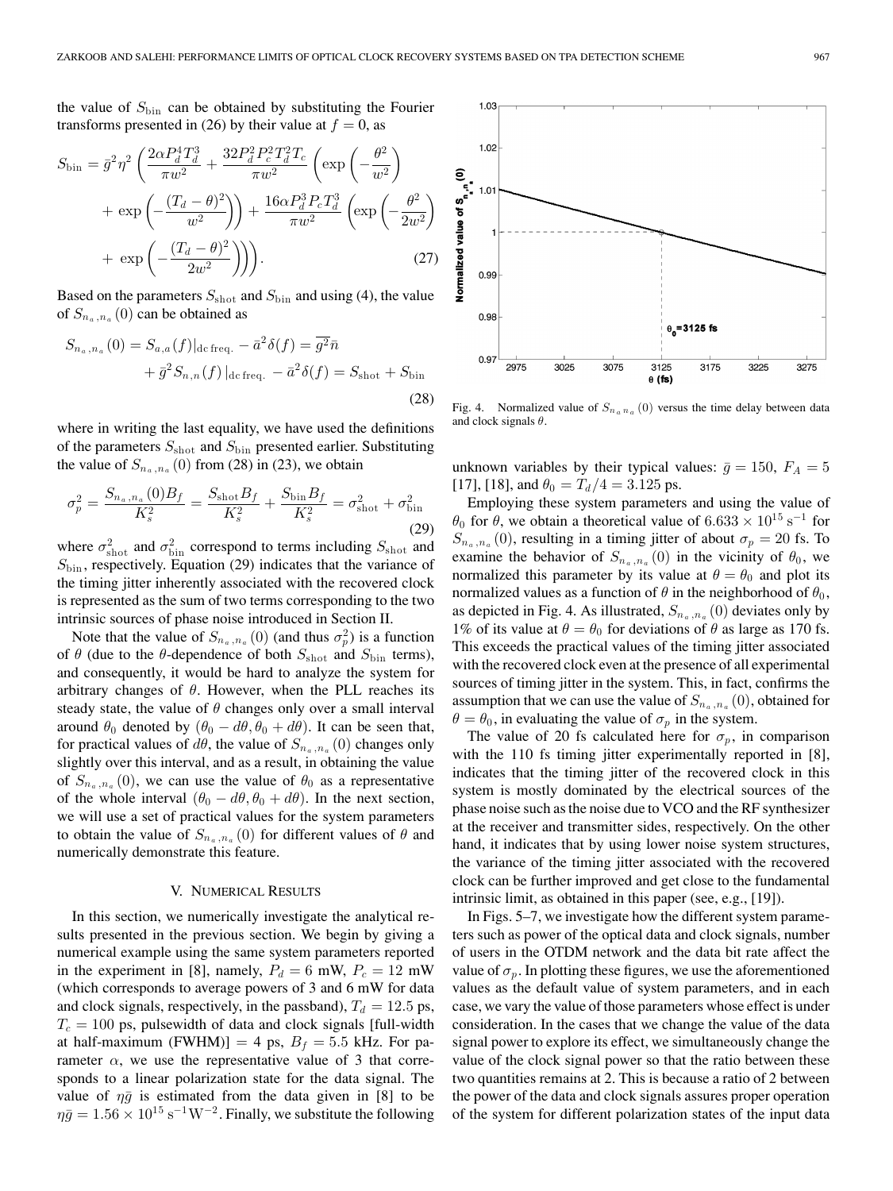the value of  $S_{\text{bin}}$  can be obtained by substituting the Fourier transforms presented in (26) by their value at  $f = 0$ , as

$$
S_{\text{bin}} = \bar{g}^2 \eta^2 \left( \frac{2\alpha P_d^4 T_d^3}{\pi w^2} + \frac{32 P_d^2 P_c^2 T_d^2 T_c}{\pi w^2} \left( \exp\left( -\frac{\theta^2}{w^2} \right) \right) + \exp\left( -\frac{(T_d - \theta)^2}{w^2} \right) \right) + \frac{16\alpha P_d^3 P_c T_d^3}{\pi w^2} \left( \exp\left( -\frac{\theta^2}{2w^2} \right) + \exp\left( -\frac{(T_d - \theta)^2}{2w^2} \right) \right). \tag{27}
$$

Based on the parameters  $S_{\text{shot}}$  and  $S_{\text{bin}}$  and using (4), the value of  $S_{n_a,n_a}(0)$  can be obtained as

$$
S_{n_a, n_a}(0) = S_{a,a}(f)|_{\text{dc freq.}} - \bar{a}^2 \delta(f) = \overline{g^2} \bar{n}
$$
  
+  $\bar{g}^2 S_{n,n}(f)|_{\text{dc freq.}} - \bar{a}^2 \delta(f) = S_{\text{shot}} + S_{\text{bin}}$   
(28)

where in writing the last equality, we have used the definitions of the parameters  $S_{\text{shot}}$  and  $S_{\text{bin}}$  presented earlier. Substituting the value of  $S_{n_a,n_a}(0)$  from (28) in (23), we obtain

$$
\sigma_p^2 = \frac{S_{n_a, n_a}(0)B_f}{K_s^2} = \frac{S_{\text{shot}}B_f}{K_s^2} + \frac{S_{\text{bin}}B_f}{K_s^2} = \sigma_{\text{shot}}^2 + \sigma_{\text{bin}}^2 \tag{29}
$$

where  $\sigma_{\text{shot}}^2$  and  $\sigma_{\text{bin}}^2$  correspond to terms including  $S_{\text{shot}}$  and  $S_{\text{bin}}$ , respectively. Equation (29) indicates that the variance of the timing jitter inherently associated with the recovered clock is represented as the sum of two terms corresponding to the two intrinsic sources of phase noise introduced in Section II.

Note that the value of  $S_{n_a,n_a}(0)$  (and thus  $\sigma_p^2$ ) is a function of  $\theta$  (due to the  $\theta$ -dependence of both  $S_{\text{shot}}$  and  $S_{\text{bin}}$  terms), and consequently, it would be hard to analyze the system for arbitrary changes of  $\theta$ . However, when the PLL reaches its steady state, the value of  $\theta$  changes only over a small interval around  $\theta_0$  denoted by  $(\theta_0 - d\theta, \theta_0 + d\theta)$ . It can be seen that, for practical values of  $d\theta$ , the value of  $S_{n_a,n_a}(0)$  changes only slightly over this interval, and as a result, in obtaining the value of  $S_{n_a,n_a}(0)$ , we can use the value of  $\theta_0$  as a representative of the whole interval  $(\theta_0 - d\theta, \theta_0 + d\theta)$ . In the next section, we will use a set of practical values for the system parameters to obtain the value of  $S_{n_a,n_a}(0)$  for different values of  $\theta$  and numerically demonstrate this feature.

## V. NUMERICAL RESULTS

In this section, we numerically investigate the analytical results presented in the previous section. We begin by giving a numerical example using the same system parameters reported in the experiment in [8], namely,  $P_d = 6$  mW,  $P_c = 12$  mW (which corresponds to average powers of 3 and 6 mW for data and clock signals, respectively, in the passband),  $T_d = 12.5$  ps,  $T_c = 100$  ps, pulsewidth of data and clock signals [full-width at half-maximum (FWHM)] = 4 ps,  $B_f = 5.5$  kHz. For parameter  $\alpha$ , we use the representative value of 3 that corresponds to a linear polarization state for the data signal. The value of  $\eta \bar{g}$  is estimated from the data given in [8] to be  $\eta \bar{g} = 1.56 \times 10^{15} \text{ s}^{-1} \text{W}^{-2}$ . Finally, we substitute the following



Fig. 4. Normalized value of  $S_{n_a n_a} (0)$  versus the time delay between data and clock signals  $\theta$ .

unknown variables by their typical values:  $\bar{g} = 150$ ,  $F_A = 5$ [17], [18], and  $\theta_0 = T_d/4 = 3.125$  ps.

Employing these system parameters and using the value of  $\theta_0$  for  $\theta$ , we obtain a theoretical value of 6.633 × 10<sup>15</sup> s<sup>-1</sup> for  $S_{n_a,n_a}(0)$ , resulting in a timing jitter of about  $\sigma_p = 20$  fs. To examine the behavior of  $S_{n_a,n_a}(0)$  in the vicinity of  $\theta_0$ , we normalized this parameter by its value at  $\theta = \theta_0$  and plot its normalized values as a function of  $\theta$  in the neighborhood of  $\theta_0$ , as depicted in Fig. 4. As illustrated,  $S_{n_a, n_a}(0)$  deviates only by 1% of its value at  $\theta = \theta_0$  for deviations of  $\theta$  as large as 170 fs. This exceeds the practical values of the timing jitter associated with the recovered clock even at the presence of all experimental sources of timing jitter in the system. This, in fact, confirms the assumption that we can use the value of  $S_{n_a,n_a}(0)$ , obtained for  $\theta = \theta_0$ , in evaluating the value of  $\sigma_p$  in the system.

The value of 20 fs calculated here for  $\sigma_p$ , in comparison with the 110 fs timing jitter experimentally reported in [8], indicates that the timing jitter of the recovered clock in this system is mostly dominated by the electrical sources of the phase noise such as the noise due to VCO and the RF synthesizer at the receiver and transmitter sides, respectively. On the other hand, it indicates that by using lower noise system structures, the variance of the timing jitter associated with the recovered clock can be further improved and get close to the fundamental intrinsic limit, as obtained in this paper (see, e.g., [19]).

In Figs. 5–7, we investigate how the different system parameters such as power of the optical data and clock signals, number of users in the OTDM network and the data bit rate affect the value of  $\sigma_p$ . In plotting these figures, we use the aforementioned values as the default value of system parameters, and in each case, we vary the value of those parameters whose effect is under consideration. In the cases that we change the value of the data signal power to explore its effect, we simultaneously change the value of the clock signal power so that the ratio between these two quantities remains at 2. This is because a ratio of 2 between the power of the data and clock signals assures proper operation of the system for different polarization states of the input data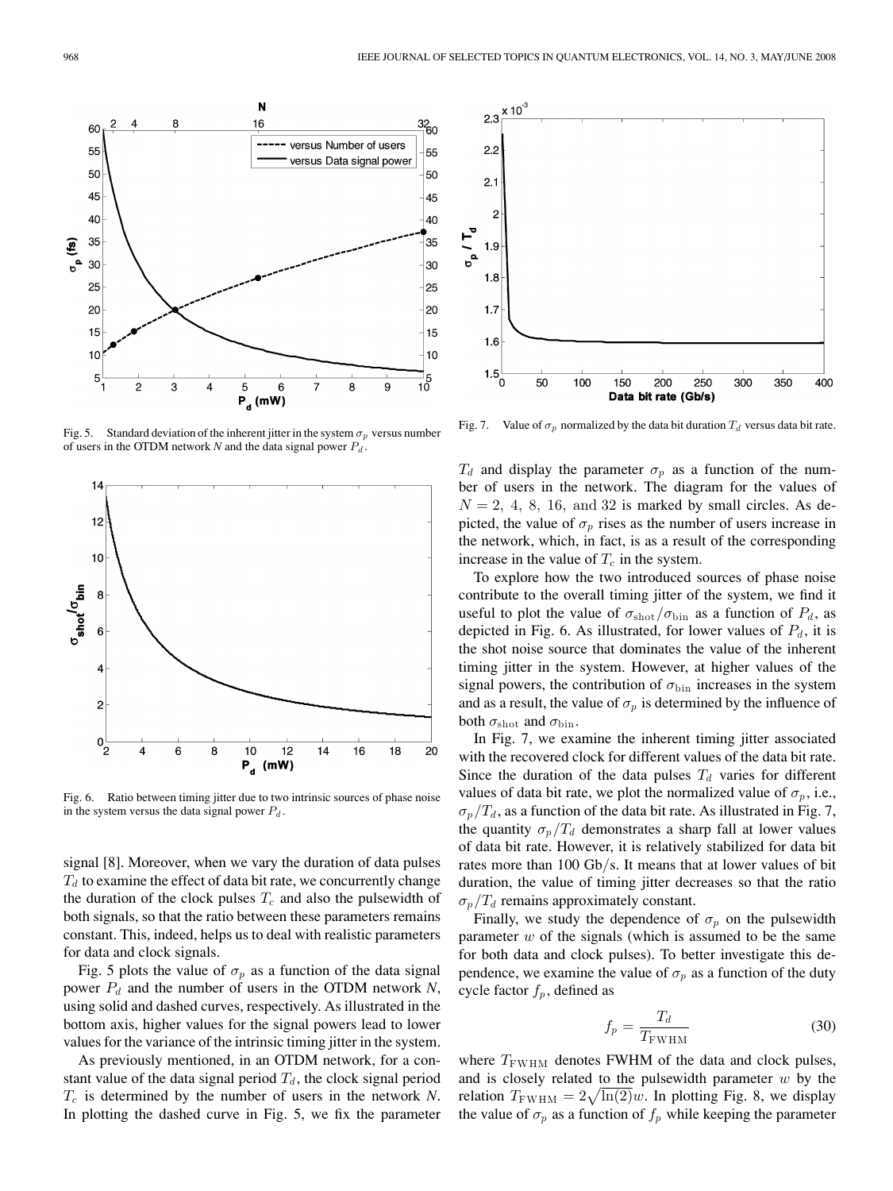

Fig. 5. Standard deviation of the inherent jitter in the system  $\sigma_p$  versus number of users in the OTDM network  $N$  and the data signal power  $P_d$ .



Fig. 6. Ratio between timing jitter due to two intrinsic sources of phase noise in the system versus the data signal power  $P_d$ .

signal [8]. Moreover, when we vary the duration of data pulses  $T<sub>d</sub>$  to examine the effect of data bit rate, we concurrently change the duration of the clock pulses  $T_c$  and also the pulsewidth of both signals, so that the ratio between these parameters remains constant. This, indeed, helps us to deal with realistic parameters for data and clock signals.

Fig. 5 plots the value of  $\sigma_p$  as a function of the data signal power  $P_d$  and the number of users in the OTDM network  $N$ , using solid and dashed curves, respectively. As illustrated in the bottom axis, higher values for the signal powers lead to lower values for the variance of the intrinsic timing jitter in the system.

As previously mentioned, in an OTDM network, for a constant value of the data signal period  $T<sub>d</sub>$ , the clock signal period  $T_c$  is determined by the number of users in the network N. In plotting the dashed curve in Fig. 5, we fix the parameter



Fig. 7. Value of  $\sigma_p$  normalized by the data bit duration  $T_d$  versus data bit rate.

 $T_d$  and display the parameter  $\sigma_p$  as a function of the number of users in the network. The diagram for the values of  $N = 2, 4, 8, 16, \text{ and } 32 \text{ is marked by small circles. As de$ picted, the value of  $\sigma_p$  rises as the number of users increase in the network, which, in fact, is as a result of the corresponding increase in the value of  $T_c$  in the system.

To explore how the two introduced sources of phase noise contribute to the overall timing jitter of the system, we find it useful to plot the value of  $\sigma_{\text{shot}}/\sigma_{\text{bin}}$  as a function of  $P_d$ , as depicted in Fig. 6. As illustrated, for lower values of  $P_d$ , it is the shot noise source that dominates the value of the inherent timing jitter in the system. However, at higher values of the signal powers, the contribution of  $\sigma_{\text{bin}}$  increases in the system and as a result, the value of  $\sigma_p$  is determined by the influence of both  $\sigma_{\text{shot}}$  and  $\sigma_{\text{bin}}$ .

In Fig. 7, we examine the inherent timing jitter associated with the recovered clock for different values of the data bit rate. Since the duration of the data pulses  $T_d$  varies for different values of data bit rate, we plot the normalized value of  $\sigma_p$ , i.e.,  $\sigma_p/T_d$ , as a function of the data bit rate. As illustrated in Fig. 7, the quantity  $\sigma_p/T_d$  demonstrates a sharp fall at lower values of data bit rate. However, it is relatively stabilized for data bit rates more than 100 Gb/s. It means that at lower values of bit duration, the value of timing jitter decreases so that the ratio  $\sigma_p/T_d$  remains approximately constant.

Finally, we study the dependence of  $\sigma_p$  on the pulsewidth parameter  $w$  of the signals (which is assumed to be the same for both data and clock pulses). To better investigate this dependence, we examine the value of  $\sigma_p$  as a function of the duty cycle factor  $f_p$ , defined as

$$
f_p = \frac{T_d}{T_{\text{FWHM}}} \tag{30}
$$

where  $T_{\text{FWHM}}$  denotes FWHM of the data and clock pulses, and is closely related to the pulsewidth parameter  $w$  by the relation  $T_{\text{FWHM}} = 2\sqrt{\ln(2)}w$ . In plotting Fig. 8, we display the value of  $\sigma_p$  as a function of  $f_p$  while keeping the parameter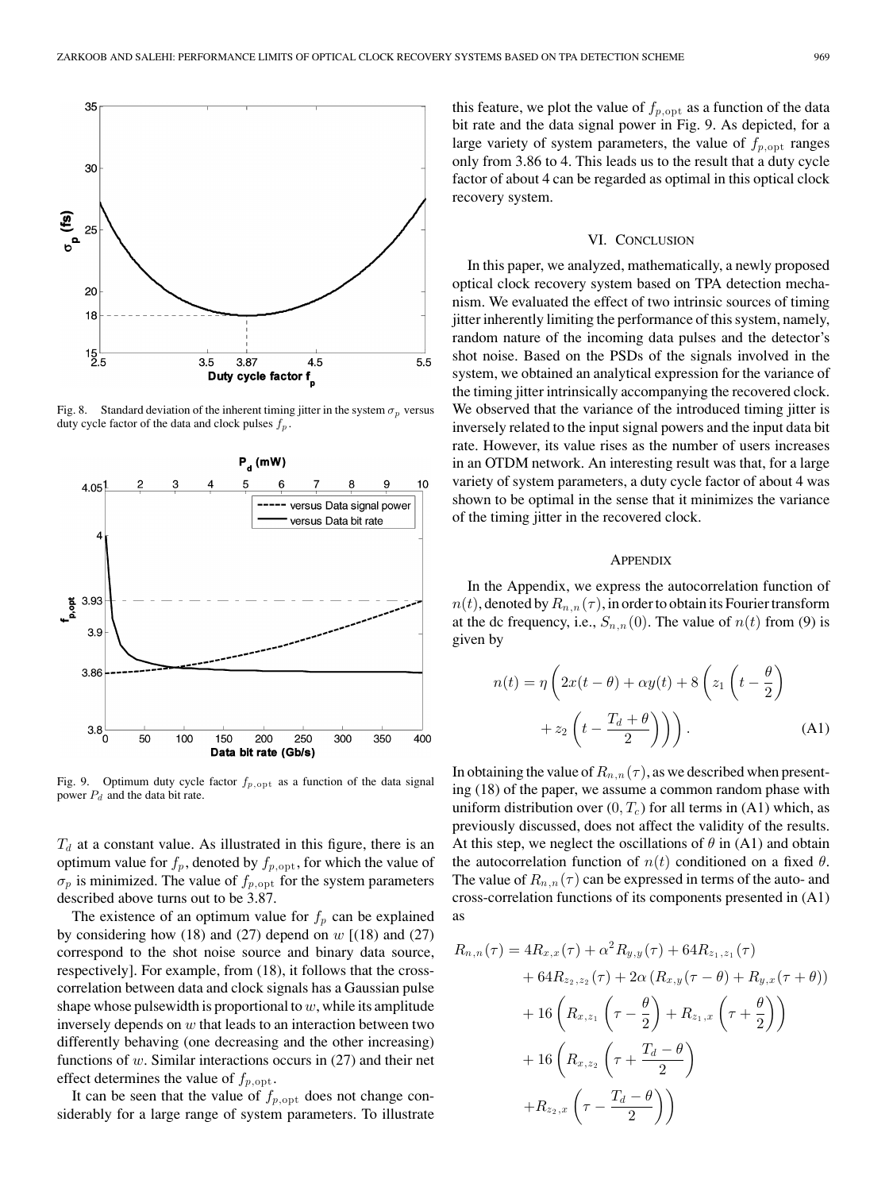

Fig. 8. Standard deviation of the inherent timing jitter in the system  $\sigma_p$  versus duty cycle factor of the data and clock pulses  $f_p$ .



Fig. 9. Optimum duty cycle factor  $f_{p,\text{opt}}$  as a function of the data signal power  $P_d$  and the data bit rate.

 $T_d$  at a constant value. As illustrated in this figure, there is an optimum value for  $f_p$ , denoted by  $f_{p,\text{opt}}$ , for which the value of  $\sigma_p$  is minimized. The value of  $f_{p,\text{opt}}$  for the system parameters described above turns out to be 3.87.

The existence of an optimum value for  $f_p$  can be explained by considering how (18) and (27) depend on  $w$  [(18) and (27) correspond to the shot noise source and binary data source, respectively]. For example, from (18), it follows that the crosscorrelation between data and clock signals has a Gaussian pulse shape whose pulsewidth is proportional to  $w$ , while its amplitude inversely depends on  $w$  that leads to an interaction between two differently behaving (one decreasing and the other increasing) functions of w. Similar interactions occurs in (27) and their net effect determines the value of  $f_{p,\text{opt}}$ .

It can be seen that the value of  $f_{p,\text{opt}}$  does not change considerably for a large range of system parameters. To illustrate this feature, we plot the value of  $f_{p,\text{opt}}$  as a function of the data bit rate and the data signal power in Fig. 9. As depicted, for a large variety of system parameters, the value of  $f_{p,\text{opt}}$  ranges only from 3.86 to 4. This leads us to the result that a duty cycle factor of about 4 can be regarded as optimal in this optical clock recovery system.

## VI. CONCLUSION

In this paper, we analyzed, mathematically, a newly proposed optical clock recovery system based on TPA detection mechanism. We evaluated the effect of two intrinsic sources of timing jitter inherently limiting the performance of this system, namely, random nature of the incoming data pulses and the detector's shot noise. Based on the PSDs of the signals involved in the system, we obtained an analytical expression for the variance of the timing jitter intrinsically accompanying the recovered clock. We observed that the variance of the introduced timing jitter is inversely related to the input signal powers and the input data bit rate. However, its value rises as the number of users increases in an OTDM network. An interesting result was that, for a large variety of system parameters, a duty cycle factor of about 4 was shown to be optimal in the sense that it minimizes the variance of the timing jitter in the recovered clock.

# **APPENDIX**

In the Appendix, we express the autocorrelation function of  $n(t)$ , denoted by  $R_{n,n}(\tau)$ , in order to obtain its Fourier transform at the dc frequency, i.e.,  $S_{n,n}(0)$ . The value of  $n(t)$  from (9) is given by

$$
n(t) = \eta \left( 2x(t - \theta) + \alpha y(t) + 8 \left( z_1 \left( t - \frac{\theta}{2} \right) + z_2 \left( t - \frac{T_d + \theta}{2} \right) \right) \right).
$$
 (A1)

In obtaining the value of  $R_{n,n}(\tau)$ , as we described when presenting (18) of the paper, we assume a common random phase with uniform distribution over  $(0, T_c)$  for all terms in (A1) which, as previously discussed, does not affect the validity of the results. At this step, we neglect the oscillations of  $\theta$  in (A1) and obtain the autocorrelation function of  $n(t)$  conditioned on a fixed  $\theta$ . The value of  $R_{n,n}(\tau)$  can be expressed in terms of the auto- and cross-correlation functions of its components presented in (A1) as

$$
R_{n,n}(\tau) = 4R_{x,x}(\tau) + \alpha^2 R_{y,y}(\tau) + 64R_{z_1,z_1}(\tau) + 64R_{z_2,z_2}(\tau) + 2\alpha (R_{x,y}(\tau - \theta) + R_{y,x}(\tau + \theta)) + 16\left(R_{x,z_1}\left(\tau - \frac{\theta}{2}\right) + R_{z_1,x}\left(\tau + \frac{\theta}{2}\right)\right) + 16\left(R_{x,z_2}\left(\tau + \frac{T_d - \theta}{2}\right) + R_{z_2,x}\left(\tau - \frac{T_d - \theta}{2}\right)\right)
$$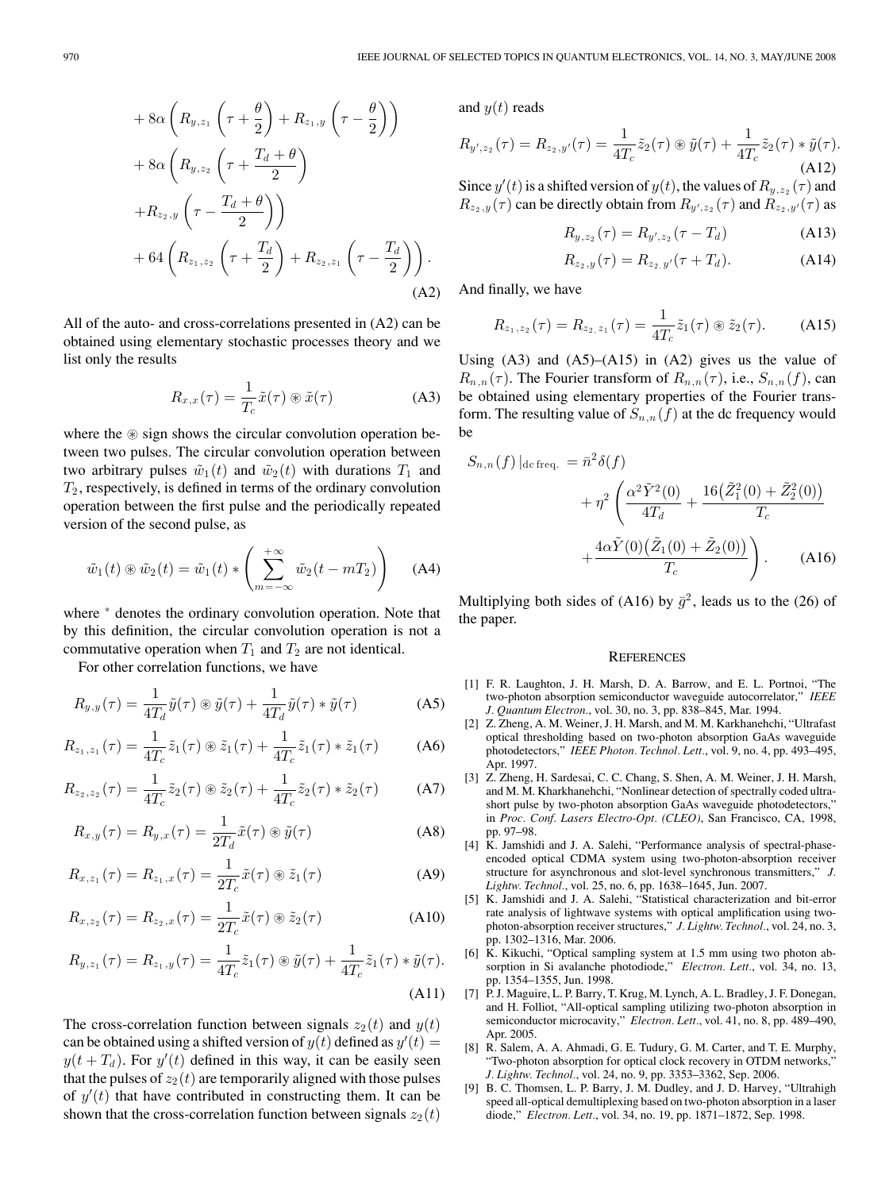$$
+ 8\alpha \left(R_{y,z_1}\left(\tau + \frac{\theta}{2}\right) + R_{z_1,y}\left(\tau - \frac{\theta}{2}\right)\right)
$$
  
+ 8\alpha \left(R\_{y,z\_2}\left(\tau + \frac{T\_d + \theta}{2}\right)\right)  
+ R\_{z\_2,y}\left(\tau - \frac{T\_d + \theta}{2}\right)\right)  
+ 64 \left(R\_{z\_1,z\_2}\left(\tau + \frac{T\_d}{2}\right) + R\_{z\_2,z\_1}\left(\tau - \frac{T\_d}{2}\right)\right). (A2)

All of the auto- and cross-correlations presented in (A2) can be obtained using elementary stochastic processes theory and we list only the results

$$
R_{x,x}(\tau) = \frac{1}{T_c} \tilde{x}(\tau) \circledast \tilde{x}(\tau)
$$
 (A3)

where the  $\circledast$  sign shows the circular convolution operation between two pulses. The circular convolution operation between two arbitrary pulses  $\tilde{w}_1(t)$  and  $\tilde{w}_2(t)$  with durations  $T_1$  and  $T_2$ , respectively, is defined in terms of the ordinary convolution operation between the first pulse and the periodically repeated version of the second pulse, as

$$
\tilde{w}_1(t) \circledast \tilde{w}_2(t) = \tilde{w}_1(t) * \left( \sum_{m=-\infty}^{+\infty} \tilde{w}_2(t - mT_2) \right) \quad (A4)
$$

where  $*$  denotes the ordinary convolution operation. Note that by this definition, the circular convolution operation is not a commutative operation when  $T_1$  and  $T_2$  are not identical.

For other correlation functions, we have

$$
R_{y,y}(\tau) = \frac{1}{4T_d}\tilde{y}(\tau) \circledast \tilde{y}(\tau) + \frac{1}{4T_d}\tilde{y}(\tau) * \tilde{y}(\tau)
$$
 (A5)

$$
R_{z_1,z_1}(\tau) = \frac{1}{4T_c} \tilde{z}_1(\tau) \circledast \tilde{z}_1(\tau) + \frac{1}{4T_c} \tilde{z}_1(\tau) * \tilde{z}_1(\tau) \tag{A6}
$$

$$
R_{z_2,z_2}(\tau) = \frac{1}{4T_c} \tilde{z}_2(\tau) \circledast \tilde{z}_2(\tau) + \frac{1}{4T_c} \tilde{z}_2(\tau) * \tilde{z}_2(\tau) \tag{A7}
$$

$$
R_{x,y}(\tau) = R_{y,x}(\tau) = \frac{1}{2T_d} \tilde{x}(\tau) \circledast \tilde{y}(\tau)
$$
 (A8)

$$
R_{x,z_1}(\tau) = R_{z_1,x}(\tau) = \frac{1}{2T_c}\tilde{x}(\tau) \circledast \tilde{z}_1(\tau)
$$
 (A9)

$$
R_{x,z_2}(\tau) = R_{z_2,x}(\tau) = \frac{1}{2T_c} \tilde{x}(\tau) \circledast \tilde{z}_2(\tau)
$$
 (A10)

$$
R_{y,z_1}(\tau) = R_{z_1,y}(\tau) = \frac{1}{4T_c} \tilde{z}_1(\tau) \circledast \tilde{y}(\tau) + \frac{1}{4T_c} \tilde{z}_1(\tau) * \tilde{y}(\tau).
$$
\n(A11)

The cross-correlation function between signals  $z_2(t)$  and  $y(t)$ can be obtained using a shifted version of  $y(t)$  defined as  $y'(t) =$  $y(t + T_d)$ . For  $y'(t)$  defined in this way, it can be easily seen that the pulses of  $z_2(t)$  are temporarily aligned with those pulses of  $y'(t)$  that have contributed in constructing them. It can be shown that the cross-correlation function between signals  $z_2(t)$  and  $y(t)$  reads

$$
R_{y',z_2}(\tau) = R_{z_2,y'}(\tau) = \frac{1}{4T_c} \tilde{z}_2(\tau) \circledast \tilde{y}(\tau) + \frac{1}{4T_c} \tilde{z}_2(\tau) * \tilde{y}(\tau).
$$
\n(A12)

Since  $y'(t)$  is a shifted version of  $y(t)$ , the values of  $R_{y,z_2}(\tau)$  and  $R_{z_2,y}(\tau)$  can be directly obtain from  $R_{y',z_2}(\tau)$  and  $R_{z_2,y'}(\tau)$  as

$$
R_{y,z_2}(\tau) = R_{y',z_2}(\tau - T_d)
$$
 (A13)

$$
R_{z_2,y}(\tau) = R_{z_2,y'}(\tau + T_d). \tag{A14}
$$

And finally, we have

$$
R_{z_1,z_2}(\tau) = R_{z_2,z_1}(\tau) = \frac{1}{4T_c} \tilde{z}_1(\tau) \circledast \tilde{z}_2(\tau). \tag{A15}
$$

Using  $(A3)$  and  $(A5)$ – $(A15)$  in  $(A2)$  gives us the value of  $R_{n,n}(\tau)$ . The Fourier transform of  $R_{n,n}(\tau)$ , i.e.,  $S_{n,n}(f)$ , can be obtained using elementary properties of the Fourier transform. The resulting value of  $S_{n,n}(f)$  at the dc frequency would be

$$
S_{n,n}(f)|_{\text{dc freq.}} = \bar{n}^{2} \delta(f)
$$
  
+ 
$$
\eta^{2} \left( \frac{\alpha^{2} \tilde{Y}^{2}(0)}{4T_{d}} + \frac{16(\tilde{Z}_{1}^{2}(0) + \tilde{Z}_{2}^{2}(0))}{T_{c}} + \frac{4\alpha \tilde{Y}(0)(\tilde{Z}_{1}(0) + \tilde{Z}_{2}(0))}{T_{c}} \right).
$$
 (A16)

Multiplying both sides of (A16) by  $\bar{q}^2$ , leads us to the (26) of the paper.

#### **REFERENCES**

- [1] F. R. Laughton, J. H. Marsh, D. A. Barrow, and E. L. Portnoi, "The two-photon absorption semiconductor waveguide autocorrelator," *IEEE J. Quantum Electron.*, vol. 30, no. 3, pp. 838–845, Mar. 1994.
- [2] Z. Zheng, A. M. Weiner, J. H. Marsh, and M. M. Karkhanehchi, "Ultrafast optical thresholding based on two-photon absorption GaAs waveguide photodetectors," *IEEE Photon. Technol. Lett.*, vol. 9, no. 4, pp. 493–495, Apr. 1997.
- [3] Z. Zheng, H. Sardesai, C. C. Chang, S. Shen, A. M. Weiner, J. H. Marsh, and M. M. Kharkhanehchi, "Nonlinear detection of spectrally coded ultrashort pulse by two-photon absorption GaAs waveguide photodetectors," in *Proc. Conf. Lasers Electro-Opt. (CLEO)*, San Francisco, CA, 1998, pp. 97–98.
- [4] K. Jamshidi and J. A. Salehi, "Performance analysis of spectral-phaseencoded optical CDMA system using two-photon-absorption receiver structure for asynchronous and slot-level synchronous transmitters," *J. Lightw. Technol.*, vol. 25, no. 6, pp. 1638–1645, Jun. 2007.
- [5] K. Jamshidi and J. A. Salehi, "Statistical characterization and bit-error rate analysis of lightwave systems with optical amplification using twophoton-absorption receiver structures," *J. Lightw. Technol.*, vol. 24, no. 3, pp. 1302–1316, Mar. 2006.
- [6] K. Kikuchi, "Optical sampling system at 1.5 mm using two photon absorption in Si avalanche photodiode," *Electron. Lett.*, vol. 34, no. 13, pp. 1354–1355, Jun. 1998.
- [7] P. J. Maguire, L. P. Barry, T. Krug, M. Lynch, A. L. Bradley, J. F. Donegan, and H. Folliot, "All-optical sampling utilizing two-photon absorption in semiconductor microcavity," *Electron. Lett.*, vol. 41, no. 8, pp. 489–490, Apr. 2005.
- [8] R. Salem, A. A. Ahmadi, G. E. Tudury, G. M. Carter, and T. E. Murphy, "Two-photon absorption for optical clock recovery in OTDM networks," *J. Lightw. Technol.*, vol. 24, no. 9, pp. 3353–3362, Sep. 2006.
- [9] B. C. Thomsen, L. P. Barry, J. M. Dudley, and J. D. Harvey, "Ultrahigh speed all-optical demultiplexing based on two-photon absorption in a laser diode," *Electron. Lett.*, vol. 34, no. 19, pp. 1871–1872, Sep. 1998.